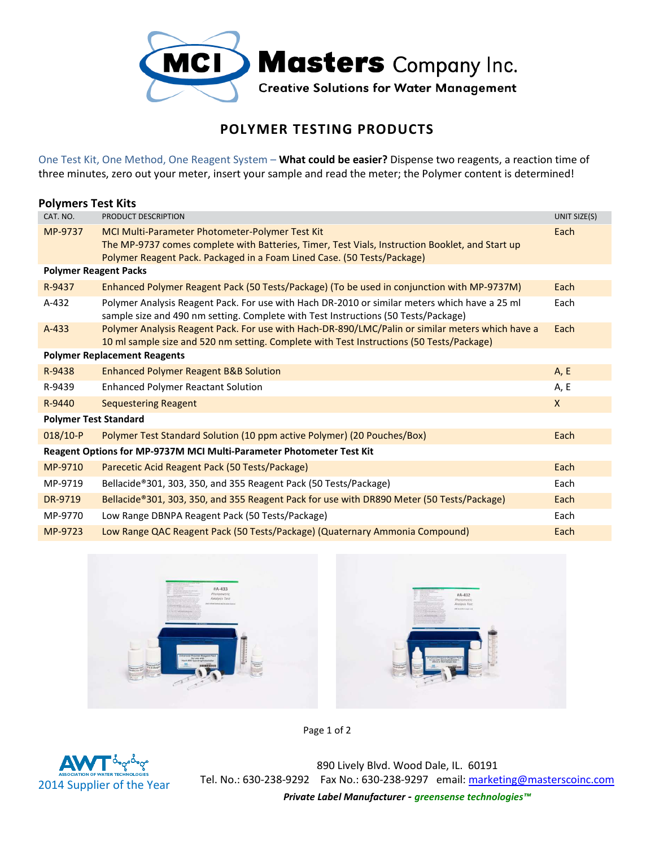

## **POLYMER TESTING PRODUCTS**

One Test Kit, One Method, One Reagent System – **What could be easier?** Dispense two reagents, a reaction time of three minutes, zero out your meter, insert your sample and read the meter; the Polymer content is determined!

| <b>Polymers Test Kits</b>                                            |                                                                                                                                                                                                                               |              |  |
|----------------------------------------------------------------------|-------------------------------------------------------------------------------------------------------------------------------------------------------------------------------------------------------------------------------|--------------|--|
| CAT. NO.                                                             | PRODUCT DESCRIPTION                                                                                                                                                                                                           | UNIT SIZE(S) |  |
| MP-9737                                                              | MCI Multi-Parameter Photometer-Polymer Test Kit<br>The MP-9737 comes complete with Batteries, Timer, Test Vials, Instruction Booklet, and Start up<br>Polymer Reagent Pack. Packaged in a Foam Lined Case. (50 Tests/Package) | Each         |  |
| <b>Polymer Reagent Packs</b>                                         |                                                                                                                                                                                                                               |              |  |
| R-9437                                                               | Enhanced Polymer Reagent Pack (50 Tests/Package) (To be used in conjunction with MP-9737M)                                                                                                                                    | Each         |  |
| $A-432$                                                              | Polymer Analysis Reagent Pack. For use with Hach DR-2010 or similar meters which have a 25 ml<br>sample size and 490 nm setting. Complete with Test Instructions (50 Tests/Package)                                           | Each         |  |
| $A-433$                                                              | Polymer Analysis Reagent Pack. For use with Hach-DR-890/LMC/Palin or similar meters which have a<br>10 ml sample size and 520 nm setting. Complete with Test Instructions (50 Tests/Package)                                  | Each         |  |
| <b>Polymer Replacement Reagents</b>                                  |                                                                                                                                                                                                                               |              |  |
| R-9438                                                               | <b>Enhanced Polymer Reagent B&amp;B Solution</b>                                                                                                                                                                              | A, E         |  |
| R-9439                                                               | <b>Enhanced Polymer Reactant Solution</b>                                                                                                                                                                                     | A, E         |  |
| R-9440                                                               | <b>Sequestering Reagent</b>                                                                                                                                                                                                   | $\mathsf{X}$ |  |
| <b>Polymer Test Standard</b>                                         |                                                                                                                                                                                                                               |              |  |
| $018/10-P$                                                           | Polymer Test Standard Solution (10 ppm active Polymer) (20 Pouches/Box)                                                                                                                                                       | Each         |  |
| Reagent Options for MP-9737M MCI Multi-Parameter Photometer Test Kit |                                                                                                                                                                                                                               |              |  |
| MP-9710                                                              | Parecetic Acid Reagent Pack (50 Tests/Package)                                                                                                                                                                                | Each         |  |
| MP-9719                                                              | Bellacide®301, 303, 350, and 355 Reagent Pack (50 Tests/Package)                                                                                                                                                              | Each         |  |
| DR-9719                                                              | Bellacide®301, 303, 350, and 355 Reagent Pack for use with DR890 Meter (50 Tests/Package)                                                                                                                                     | Each         |  |
| MP-9770                                                              | Low Range DBNPA Reagent Pack (50 Tests/Package)                                                                                                                                                                               | Each         |  |
| MP-9723                                                              | Low Range QAC Reagent Pack (50 Tests/Package) (Quaternary Ammonia Compound)                                                                                                                                                   | Each         |  |





Page 1 of 2



890 Lively Blvd. Wood Dale, IL. 60191 Tel. No.: 630-238-9292 Fax No.: 630-238-9297 email: marketing@masterscoinc.com *Private Label Manufacturer - greensense technologies™*